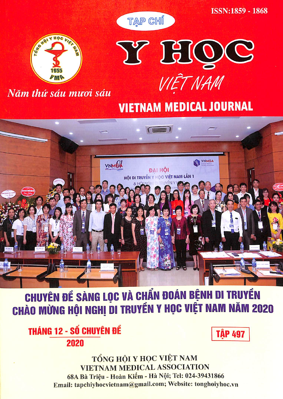

**CHUYÊN ĐỂ SÀNG LỌC VÀ CHẨN ĐOÁN BỆNH DI TRUYỀN CHÀO MỪNG HỘI NGHỊ DI TRUYỀN Y HỌC VIỆT NAM NĂM 2020** 

**THÁNG 12 - SỐ CHUYÊN ĐỂ** 2020

**TÂP 497** 

TỔNG HỘI Y HỌC VIỆT NAM **VIETNAM MEDICAL ASSOCIATION** 68A Bà Triệu - Hoàn Kiếm - Hà Nội; Tel: 024-39431866 Email: tapchiyhocvietnam@gmail.com; Website: tonghoiyhoc.vn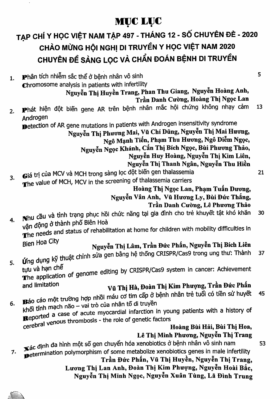### MUC LUC

### TẠP CHÍ Y HỌC VIỆT NAM TẬP 497 - THÁNG 12 - SỐ CHUYÊN ĐỀ - 2020 CHÀO MỪNG HỘI NGHỊ DI TRUYỀN Y HỌC VIỆT NAM 2020 CHUYÊN ĐỀ SÀNG LỌC VÀ CHẨN ĐOÁN BỆNH DI TRUYỀN

| 1. | Phân tích nhiễm sắc thể ở bệnh nhân vô sinh                                                                                           | 5  |
|----|---------------------------------------------------------------------------------------------------------------------------------------|----|
|    | Chromosome analysis in patients with infertility                                                                                      |    |
|    | Nguyễn Thị Huyền Trang, Phan Thu Giang, Nguyễn Hoàng Anh,                                                                             |    |
|    | Trần Danh Cường, Hoàng Thị Ngọc Lan                                                                                                   |    |
| 2. | Phát hiện đột biến gene AR trên bệnh nhân mắc hội chứng không nhạy cảm                                                                | 13 |
|    | Androgen                                                                                                                              |    |
|    | Detection of AR gene mutations in patients with Androgen insensitivity syndrome                                                       |    |
|    | Nguyễn Thị Phương Mai, Vũ Chí Dũng, Nguyễn Thị Mai Hương,                                                                             |    |
|    | Ngô Mạnh Tiến, Phạm Thu Hương, Ngô Diễm Ngọc,                                                                                         |    |
|    | Nguyễn Ngọc Khánh, Cấn Thị Bích Ngọc, Bùi Phương Thảo,                                                                                |    |
|    | Nguyễn Huy Hoàng, Nguyễn Thị Kim Liên,                                                                                                |    |
|    | Nguyễn Thị Thanh Ngân, Nguyễn Thu Hiền                                                                                                |    |
| 3. | Giá trị của MCV và MCH trong sàng lọc đột biến gen thalassemia                                                                        | 21 |
|    | The value of MCH, MCV in the screening of thalassemia carriers                                                                        |    |
|    | Hoàng Thị Ngọc Lan, Phạm Tuấn Dương,                                                                                                  |    |
|    | Nguyễn Vân Anh, Vũ Hương Ly, Bùi Đức Thắng,                                                                                           |    |
|    | Trần Danh Cường, Lê Phương Thảo                                                                                                       |    |
|    | Nhu cầu và tình trạng phục hồi chức năng tại gia đình cho trẻ khuyết tật khó khăn                                                     | 30 |
| 4. | vận động ở thành phố Biên Hoà                                                                                                         |    |
|    | The needs and status of rehabilitation at home for children with mobility difficulties in                                             |    |
|    | <b>Bien Hoa City</b>                                                                                                                  |    |
|    | Nguyễn Thị Lâm, Trần Đức Phần, Nguyễn Thị Bích Liên                                                                                   |    |
|    | they say on a mean with the all of the during dung kỹ thuật chỉnh sửa gen bằng hệ thống CRISPR/Cas9 trong ung thư: Thành              | 37 |
| 5. |                                                                                                                                       |    |
|    | use value of genome editing by CRISPR/Cas9 system in cancer: Achievement                                                              |    |
|    | and limitation                                                                                                                        |    |
|    | Vũ Thị Hà, Đoàn Thị Kim Phượng, Trần Đức Phấn                                                                                         | 45 |
|    | Báo cáo một trường hợp nhồi máu cơ tim cấp ở bệnh nhân trẻ tuổi có tiền sử huyết                                                      |    |
| 6. | khối tĩnh mạch não - vai trò của nhân tố di truyền                                                                                    |    |
|    | <b>Reported a case of acute myocardial infarction in young patients with a history of</b>                                             |    |
|    | cerebral venous thrombosis - the role of genetic factors                                                                              |    |
|    | Hoàng Bùi Hải, Bùi Thị Hoa,<br>Lê Thị Minh Phương, Nguyễn Thị Trang                                                                   |    |
|    |                                                                                                                                       |    |
|    | xác định đa hình một số gen chuyển hóa xenobiotics ở bệnh nhân vô sinh nam                                                            | 53 |
| 7. | Determination polymorphism of some metabolize xenobiotics genes in male infertility<br>Trần Đức Phấn, Vũ Thị Huyền, Nguyễn Thị Trang, |    |
|    | Lương Thị Lan Anh, Đoàn Thị Kim Phượng, Nguyễn Hoài Bắc,                                                                              |    |
|    |                                                                                                                                       |    |

Nguyễn Thị Minh Ngọc, Nguyên Xuân Tùng, Lã Đình Trung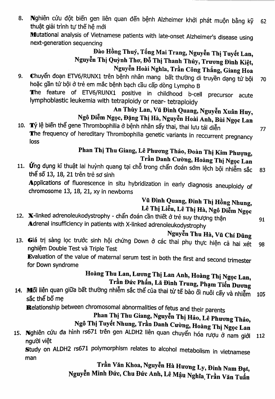Nghiên cứu đột biến gen liên quan đến bệnh Alzheimer khởi phát muộn bằng kỹ 8. 62 thuật giải trình tư thế hệ mới Mutational analysis of Vietnamese patients with late-onset Alzheimer's disease using next-generation sequencing

#### Đào Hồng Thuý, Tống Mai Trang, Nguyễn Thị Tuyết Lan, Nguyễn Thị Quỳnh Thơ, Đỗ Thị Thanh Thủy, Trương Đình Kiệt, Nguyễn Hoài Nghĩa, Trần Công Thắng, Giang Hoa

Chuyển đoạn ETV6/RUNX1 trên bệnh nhân mang bất thường di truyền dạng tứ bội 9. 70 hoặc gần tứ bội ở trẻ em mắc bệnh bạch cầu cấp dòng Lympho B The feature of ETV6/RUNX1 positive in childhood b-cell precursor acute lymphoblastic leukemia with tetraploidy or near- tetraploidy

#### An Thùy Lan, Vũ Đình Quang, Nguyễn Xuân Huy, Ngô Diễm Ngọc, Đặng Thị Hà, Nguyễn Hoài Anh, Bùi Ngọc Lan

10. Tỷ lệ biến thể gene Thrombophilia ở bệnh nhân sẩy thai, thai lưu tái diễn The frequency of hereditary Thrombophilia genetic variants in reccurrent pregnancy loss

#### Phan Thị Thu Giang, Lê Phương Thảo, Đoàn Thị Kim Phượng, Trần Danh Cường, Hoàng Thị Ngọc Lan

11. Ứng dụng kĩ thuật lai huỳnh quang tại chỗ trong chẩn đoán sớm lệch bội nhiễm sắc 83 thể số 13, 18, 21 trên trẻ sơ sinh Applications of fluorescence in situ hybridization in early diagnosis aneuploidy of chromosome 13, 18, 21, xy in newborns

#### Vũ Đình Quang, Đinh Thị Hồng Nhung, Lê Thị Liễu, Lê Thị Hà, Ngô Diễm Ngọc

12. X-linked adrenoleukodystrophy - chẩn đoán cần thiết ở trẻ suy thượng thận Adrenal insufficiency in patients with X-linked adrenoleukodystrophy

Nguyễn Thu Hà, Vũ Chí Dũng

13. Giá trị sàng lọc trước sinh hội chứng Down ở các thai phụ thực hiện cả hai xét 98 nghiệm Double Test và Triple Test Evaluation of the value of maternal serum test in both the first and second trimester

for Down syndrome

### Hoàng Thu Lan, Lương Thị Lan Anh, Hoàng Thị Ngọc Lan, Trần Đức Phấn, Lã Đình Trung, Phạm Tiến Dương

14. Mối liên quan giữa bất thường nhiễm sắc thể của thai từ tế bào ối nuôi cấy và nhiễm 105 sắc thể bố me

Relationship between chromosomal abnormalities of fetus and their parents

# Phan Thị Thu Giang, Nguyễn Thị Hảo, Lê Phương Thảo,

Ngô Thị Tuyết Nhung, Trần Danh Cường, Hoàng Thị Ngọc Lan

15. Nghiên cứu đa hình rs671 trên gen ALDH2 liên quan chuyển hóa rượu ở nam giới 112 người việt

Study on ALDH2 rs671 polymorphism relates to alcohol metabolism in vietnamese man

Trần Văn Khoa, Nguyễn Hà Hương Ly, Đinh Nam Đạt, Nguyễn Minh Đức, Chu Đức Anh, Lê Mậu Nghĩa Trần Văn Tuấn 77

91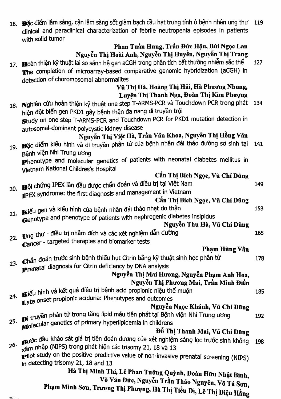|     | 16. Đặc điểm lâm sàng, cận lâm sàng sốt giảm bạch cầu hạt trung tính ở bệnh nhân ung thư 119<br>clinical and paraclinical characterization of febrile neutropenia episodes in patients<br>with solid tumor |     |
|-----|------------------------------------------------------------------------------------------------------------------------------------------------------------------------------------------------------------|-----|
|     | Phan Tuấn Hưng, Trần Đức Hậu, Bùi Ngọc Lan                                                                                                                                                                 |     |
|     | Nguyễn Thị Hoài Anh, Nguyễn Thị Huyền, Nguyễn Thị Trang                                                                                                                                                    |     |
|     | 17. Hoàn thiện kỹ thuật lai so sánh hệ gen aCGH trong phân tích bất thường nhiễm sắc thể                                                                                                                   | 127 |
|     | The completion of microarray-based comparative genomic hybridization (aCGH) in                                                                                                                             |     |
|     | detection of choromosomal abnormalites                                                                                                                                                                     |     |
|     | Vũ Thị Hà, Hoàng Thị Hải, Hà Phương Nhung,                                                                                                                                                                 |     |
|     | Luyện Thị Thanh Nga, Đoàn Thị Kim Phượng                                                                                                                                                                   |     |
|     | 18. Nghiên cứu hoàn thiện kỹ thuật one step T-ARMS-PCR và Touchdown PCR trong phát 134                                                                                                                     |     |
|     | hiện đột biến gen PKD1 gây bệnh thận đa nang di truyền trội                                                                                                                                                |     |
|     | Study on one step T-ARMS-PCR and Touchdown PCR for PKD1 mutation detection in                                                                                                                              |     |
|     | autosomal-dominant polycystic kidney disease                                                                                                                                                               |     |
|     | Nguyễn Thị Việt Hà, Trần Văn Khoa, Nguyễn Thị Hồng Vân                                                                                                                                                     |     |
|     | 19. Đặc điểm kiểu hình và di truyền phân tử của bệnh nhân đái tháo đường sơ sinh tai                                                                                                                       | 141 |
|     | Bênh viện Nhi Trung ương                                                                                                                                                                                   |     |
|     | Phenotype and molecular genetics of patients with neonatal diabetes mellitus in                                                                                                                            |     |
|     | Vietnam National Childres's Hospital                                                                                                                                                                       |     |
|     | Cấn Thị Bích Ngọc, Vũ Chí Dũng                                                                                                                                                                             |     |
|     | 20. <b>III</b> ội chứng IPEX lần đầu được chẩn đoán và điều trị tại Việt Nam                                                                                                                               | 149 |
|     | TPEX syndrome: the first diagnosis and management in Vietnam                                                                                                                                               |     |
|     | Cấn Thị Bích Ngọc, Vũ Chí Dũng                                                                                                                                                                             |     |
|     | Kiểu gen và kiểu hình của bệnh nhân đái tháo nhạt do thận                                                                                                                                                  | 158 |
| 21. | Genotype and phenotype of patients with nephrogenic diabetes insipidus                                                                                                                                     |     |
|     | Nguyễn Thu Hà, Vũ Chí Dũng                                                                                                                                                                                 |     |
| 22. | Ung thư - điều trị nhằm đích và các xét nghiệm dẫn đường                                                                                                                                                   | 165 |
|     | Cancer - targeted therapies and biomarker tests                                                                                                                                                            |     |
|     | Phạm Hùng Vân                                                                                                                                                                                              |     |
|     | Chẩn đoán trước sinh bệnh thiếu hụt Citrin bằng kỹ thuật sinh học phân tử                                                                                                                                  | 178 |
| 23. | Prenatal diagnosis for Citrin deficiency by DNA analysis                                                                                                                                                   |     |
|     | Nguyễn Thị Mai Hương, Nguyễn Phạm Anh Hoa,                                                                                                                                                                 |     |
|     | Nguyễn Thị Phương Mai, Trần Minh Điển                                                                                                                                                                      |     |
|     | 24. Kiểu hình và kết quả điều trị bệnh acid propionic niệu thể muộn                                                                                                                                        | 185 |
|     | Late onset propionic aciduria: Phenotypes and outcomes                                                                                                                                                     |     |
|     | Nguyễn Ngọc Khánh, Vũ Chí Dũng                                                                                                                                                                             |     |
|     | Di truyền phân tử trong tăng lipid máu tiên phát tại Bệnh viện Nhi Trung ương                                                                                                                              | 192 |
| 25. | Molecular genetics of primary hyperlipidemia in childrens                                                                                                                                                  |     |
|     | Đỗ Thị Thanh Mai, Vũ Chí Dũng                                                                                                                                                                              |     |
| 26. | Bước đầu khảo sát giá trị tiên đoán dương của xét nghiệm sàng lọc trước sinh không                                                                                                                         | 198 |
|     | xâm nhập (NIPS) trong phát hiện các trisomy 21, 18 và 13                                                                                                                                                   |     |
|     | pilot study on the positive predictive value of non-invasive prenatal screening (NIPS)                                                                                                                     |     |
|     | in detecting trisomy 21, 18 and 13                                                                                                                                                                         |     |
|     | Hà Thị Minh Thi, Lê Phan Tưởng Quỳnh, Đoàn Hữu Nhật Bình,                                                                                                                                                  |     |
|     | Võ Văn Đức, Nguyễn Trần Thảo Nguyên, Võ Tá Sơn.                                                                                                                                                            |     |

Phạm Minh Sơn, Trương Thị Phượng, Hà Thị Tiểu Di, Lê Thị Diệu Hằng